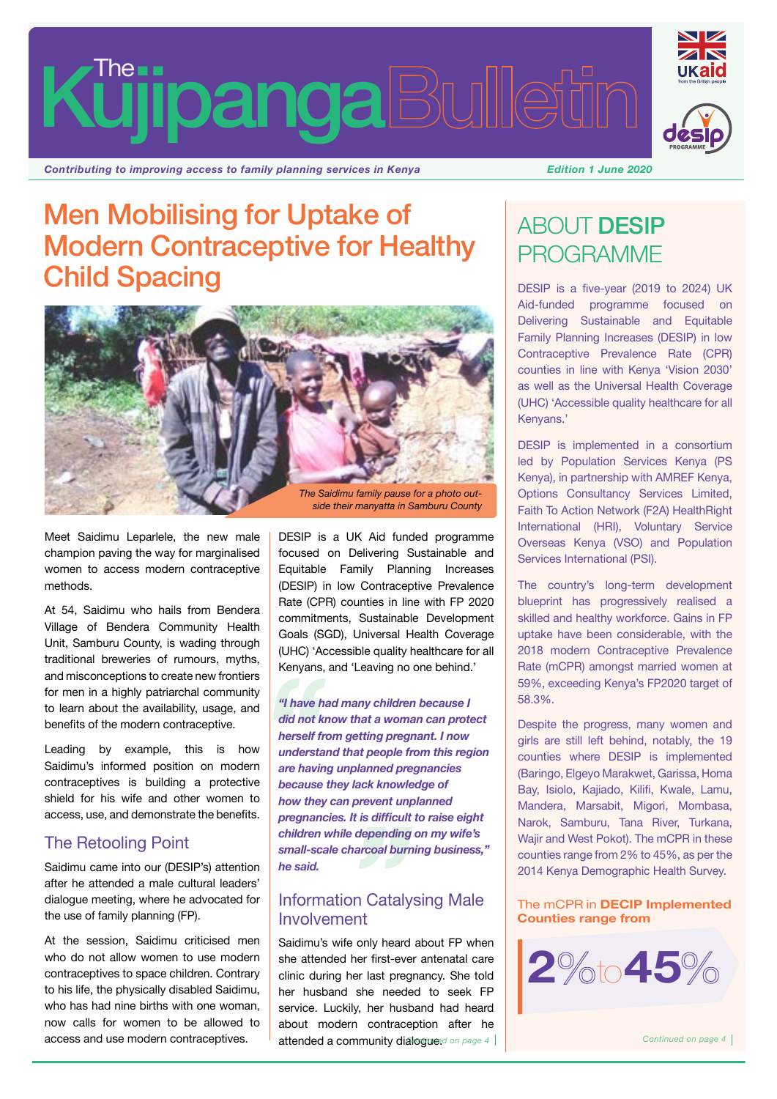# **kujipanga Bulli**



*Contributing to improving access to family planning services in Kenya Edition 1 June 2020*

## Men Mobilising for Uptake of Modern Contraceptive for Healthy Child Spacing



Meet Saidimu Leparlele, the new male champion paving the way for marginalised women to access modern contraceptive methods.

At 54, Saidimu who hails from Bendera Village of Bendera Community Health Unit, Samburu County, is wading through traditional breweries of rumours, myths, and misconceptions to create new frontiers for men in a highly patriarchal community to learn about the availability, usage, and benefits of the modern contraceptive.

Leading by example, this is how Saidimu's informed position on modern contraceptives is building a protective shield for his wife and other women to access, use, and demonstrate the benefits.

#### The Retooling Point

Saidimu came into our (DESIP's) attention after he attended a male cultural leaders' dialogue meeting, where he advocated for the use of family planning (FP).

At the session, Saidimu criticised men who do not allow women to use modern contraceptives to space children. Contrary to his life, the physically disabled Saidimu, who has had nine births with one woman, now calls for women to be allowed to access and use modern contraceptives.

DESIP is a UK Aid funded programme focused on Delivering Sustainable and Equitable Family Planning Increases (DESIP) in low Contraceptive Prevalence Rate (CPR) counties in line with FP 2020 commitments, Sustainable Development Goals (SGD), Universal Health Coverage (UHC) 'Accessible quality healthcare for all Kenyans, and 'Leaving no one behind.'

*"I have had many children because I did not know that a woman can protect herself from getting pregnant. I now understand that people from this region are having unplanned pregnancies because they lack knowledge of how they can prevent unplanned pregnancies. It is difficult to raise eight children while depending on my wife's small-scale charcoal burning business," he said.*

#### Information Catalysing Male Involvement

Saidimu's wife only heard about FP when she attended her first-ever antenatal care clinic during her last pregnancy. She told her husband she needed to seek FP service. Luckily, her husband had heard about modern contraception after he attended a community dialogue. *Continued on page 4 Continued on page 4*

## ABOUT DESIP PROGRAMME

DESIP is a five-year (2019 to 2024) UK Aid-funded programme focused on Delivering Sustainable and Equitable Family Planning Increases (DESIP) in low Contraceptive Prevalence Rate (CPR) counties in line with Kenya 'Vision 2030' as well as the Universal Health Coverage (UHC) 'Accessible quality healthcare for all Kenyans.'

DESIP is implemented in a consortium led by Population Services Kenya (PS Kenya), in partnership with AMREF Kenya, Options Consultancy Services Limited, Faith To Action Network (F2A) HealthRight International (HRI), Voluntary Service Overseas Kenya (VSO) and Population Services International (PSI).

The country's long-term development blueprint has progressively realised a skilled and healthy workforce. Gains in FP uptake have been considerable, with the 2018 modern Contraceptive Prevalence Rate (mCPR) amongst married women at 59%, exceeding Kenya's FP2020 target of 58.3%.

Despite the progress, many women and girls are still left behind, notably, the 19 counties where DESIP is implemented (Baringo, Elgeyo Marakwet, Garissa, Homa Bay, Isiolo, Kajiado, Kilifi, Kwale, Lamu, Mandera, Marsabit, Migori, Mombasa, Narok, Samburu, Tana River, Turkana, Wajir and West Pokot). The mCPR in these counties range from 2% to 45%, as per the 2014 Kenya Demographic Health Survey.

The mCPR in **DECIP Implemented Counties range from**

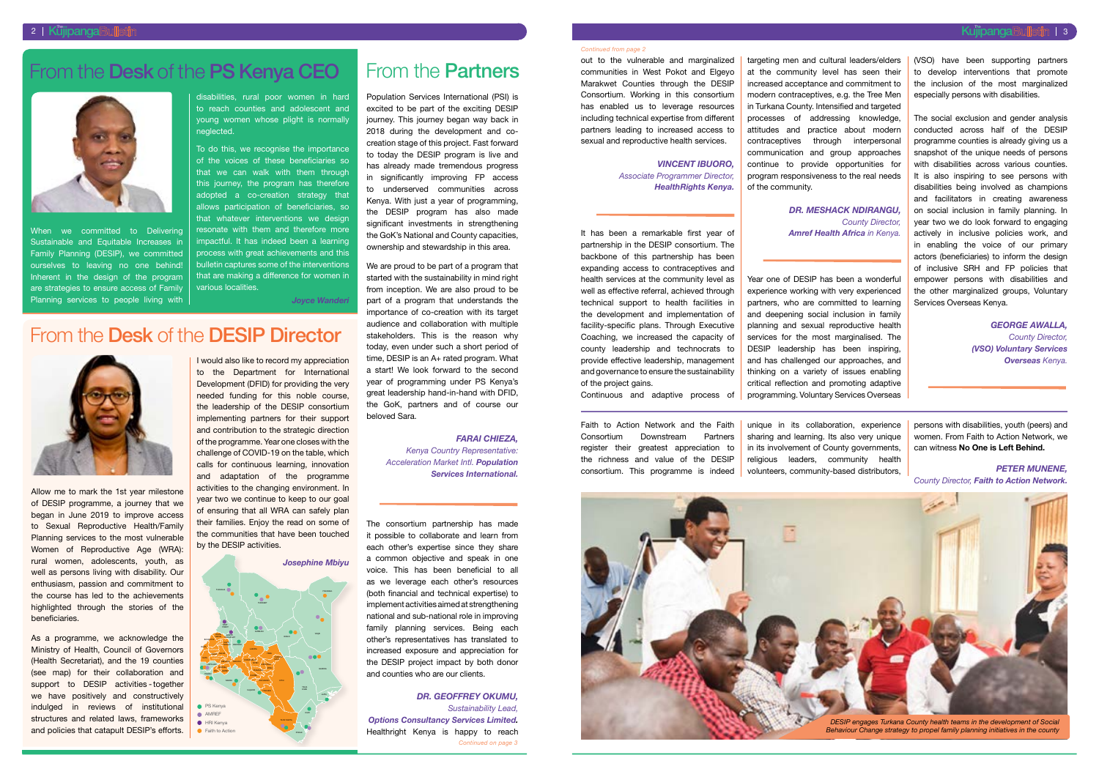out to the vulnerable and marginalized communities in West Pokot and Elgeyo Marakwet Counties through the DESIP Consortium. Working in this consortium has enabled us to leverage resources including technical expertise from different partners leading to increased access to sexual and reproductive health services.

#### *Vincent Ibuoro, Associate Programmer Director, HealthRights Kenya.*

It has been a remarkable first year of partnership in the DESIP consortium. The backbone of this partnership has been expanding access to contraceptives and health services at the community level as well as effective referral, achieved through technical support to health facilities in the development and implementation of facility-specific plans. Through Executive Coaching, we increased the capacity of county leadership and technocrats to provide effective leadership, management and governance to ensure the sustainability of the project gains.

Continuous and adaptive process of

targeting men and cultural leaders/elders at the community level has seen their increased acceptance and commitment to modern contraceptives, e.g. the Tree Men in Turkana County. Intensified and targeted processes of addressing knowledge, attitudes and practice about modern contraceptives through interpersonal communication and group approaches continue to provide opportunities for program responsiveness to the real needs of the community.

*Dr. Meshack Ndirangu, County Director, Amref Health Africa in Kenya.*

When we committed to Delivering Sustainable and Equitable Increases in Family Planning (DESIP), we committed ourselves to leaving no one behind! Inherent in the design of the program are strategies to ensure access of Family Planning services to people living with

Year one of DESIP has been a wonderful experience working with very experienced partners, who are committed to learning and deepening social inclusion in family planning and sexual reproductive health services for the most marginalised. The DESIP leadership has been inspiring, and has challenged our approaches, and thinking on a variety of issues enabling critical reflection and promoting adaptive programming. Voluntary Services Overseas (VSO) have been supporting partners to develop interventions that promote the inclusion of the most marginalized especially persons with disabilities.

The social exclusion and gender analysis conducted across half of the DESIP programme counties is already giving us a snapshot of the unique needs of persons with disabilities across various counties. It is also inspiring to see persons with disabilities being involved as champions and facilitators in creating awareness on social inclusion in family planning. In year two we do look forward to engaging actively in inclusive policies work, and in enabling the voice of our primary actors (beneficiaries) to inform the design of inclusive SRH and FP policies that empower persons with disabilities and the other marginalized groups, Voluntary Services Overseas Kenya.

> *George Awalla, County Director, (VSO) Voluntary Services Overseas Kenya.*

disabilities, rural poor women in hard to reach counties and adolescent and young women whose plight is normally neglected.

To do this, we recognise the importance of the voices of these beneficiaries so that we can walk with them through this journey, the program has therefore adopted a co-creation strategy that allows participation of beneficiaries, so that whatever interventions we design resonate with them and therefore more impactful. It has indeed been a learning process with great achievements and this bulletin captures some of the interventions that are making a difference for women in various localities.

*Joyce Wanderi*

## From the Desk of the PS Kenya CEO



Allow me to mark the 1st year milestone of DESIP programme, a journey that we began in June 2019 to improve access to Sexual Reproductive Health/Family Planning services to the most vulnerable Women of Reproductive Age (WRA): rural women, adolescents, youth, as well as persons living with disability. Our enthusiasm, passion and commitment to the course has led to the achievements highlighted through the stories of the beneficiaries.

As a programme, we acknowledge the Ministry of Health, Council of Governors (Health Secretariat), and the 19 counties (see map) for their collaboration and support to DESIP activities - together we have positively and constructively indulged in reviews of institutional structures and related laws, frameworks and policies that catapult DESIP's efforts.

I would also like to record my appreciation to the Department for International Development (DFID) for providing the very needed funding for this noble course, the leadership of the DESIP consortium implementing partners for their support and contribution to the strategic direction of the programme. Year one closes with the challenge of COVID-19 on the table, which calls for continuous learning, innovation and adaptation of the programme activities to the changing environment. In year two we continue to keep to our goal of ensuring that all WRA can safely plan their families. Enjoy the read on some of the communities that have been touched by the DESIP activities.

## From the Desk of the DESIP Director



Population Services International (PSI) is excited to be part of the exciting DESIP journey. This journey began way back in 2018 during the development and cocreation stage of this project. Fast forward to today the DESIP program is live and has already made tremendous progress in significantly improving FP access to underserved communities across Kenya. With just a year of programming. the DESIP program has also made significant investments in strengthening the GoK's National and County capacities, ownership and stewardship in this area.

We are proud to be part of a program that started with the sustainability in mind right from inception. We are also proud to be part of a program that understands the importance of co-creation with its target audience and collaboration with multiple stakeholders. This is the reason why today, even under such a short period of time, DESIP is an A+ rated program. What a start! We look forward to the second year of programming under PS Kenya's great leadership hand-in-hand with DFID, the GoK, partners and of course our beloved Sara.

#### *Farai Chieza,*

*Kenya Country Representative: Acceleration Market Intl. Population Services International.*

The consortium partnership has made it possible to collaborate and learn from each other's expertise since they share a common objective and speak in one voice. This has been beneficial to all as we leverage each other's resources (both financial and technical expertise) to implement activities aimed at strengthening national and sub-national role in improving family planning services. Being each other's representatives has translated to increased exposure and appreciation for the DESIP project impact by both donor and counties who are our clients.



*Dr. Geoffrey Okumu, Sustainability Lead,* 

## From the Partners

Faith to Action Network and the Faith Consortium Downstream Partners register their greatest appreciation to the richness and value of the DESIP consortium. This programme is indeed

*Options Consultancy Services Limited.* Healthright Kenya is happy to reach *Continued on page 3*

unique in its collaboration, experience sharing and learning. Its also very unique in its involvement of County governments, religious leaders, community health volunteers, community-based distributors,

persons with disabilities, youth (peers) and women. From Faith to Action Network, we can witness **No One is Left Behind.**

*Peter Munene, County Director, Faith to Action Network.*



#### *Continued from page 2*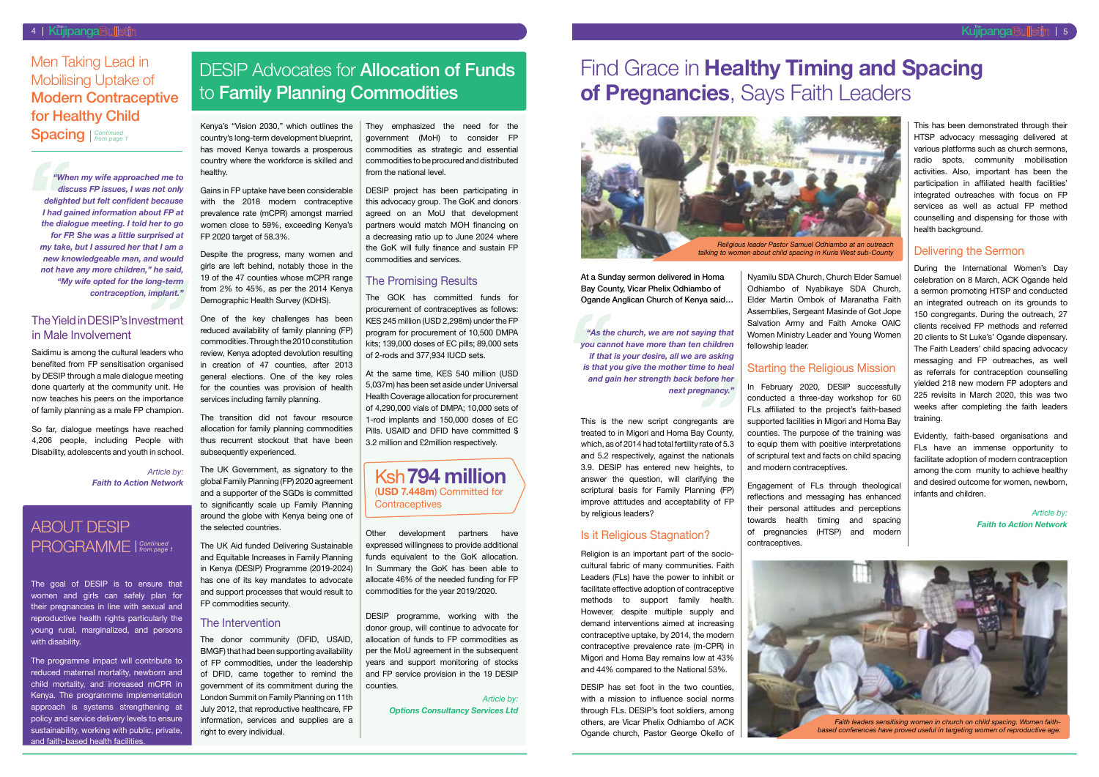At a Sunday sermon delivered in Homa Bay County, Vicar Phelix Odhiambo of Ogande Anglican Church of Kenya said…

*"As the church, we are not saying that you cannot have more than ten children if that is your desire, all we are asking is that you give the mother time to heal and gain her strength back before her next pregnancy."*

This is the new script congregants are treated to in Migori and Homa Bay County, which, as of 2014 had total fertility rate of 5.3 and 5.2 respectively, against the nationals 3.9. DESIP has entered new heights, to answer the question, will clarifying the scriptural basis for Family Planning (FP) improve attitudes and acceptability of FP by religious leaders?

#### Is it Religious Stagnation?

Religion is an important part of the sociocultural fabric of many communities. Faith Leaders (FLs) have the power to inhibit or facilitate effective adoption of contraceptive methods to support family health. However, despite multiple supply and demand interventions aimed at increasing contraceptive uptake, by 2014, the modern contraceptive prevalence rate (m-CPR) in Migori and Homa Bay remains low at 43% and 44% compared to the National 53%.

This has been demonstrated through their HTSP advocacy messaging delivered at various platforms such as church sermons, radio spots, community mobilisation activities. Also, important has been the participation in affiliated health facilities' integrated outreaches with focus on FP services as well as actual FP method counselling and dispensing for those with health background.

DESIP has set foot in the two counties, with a mission to influence social norms through FLs. DESIP's foot soldiers, among others, are Vicar Phelix Odhiambo of ACK Ogande church, Pastor George Okello of

Nyamilu SDA Church, Church Elder Samuel Odhiambo of Nyabikaye SDA Church, Elder Martin Ombok of Maranatha Faith Assemblies, Sergeant Masinde of Got Jope Salvation Army and Faith Amoke OAIC Women Ministry Leader and Young Women fellowship leader.

## Starting the Religious Mission

In February 2020, DESIP successfully conducted a three-day workshop for 60 FLs affiliated to the project's faith-based supported facilities in Migori and Homa Bay counties. The purpose of the training was to equip them with positive interpretations of scriptural text and facts on child spacing and modern contraceptives.

Engagement of FLs through theological reflections and messaging has enhanced their personal attitudes and perceptions towards health timing and spacing of pregnancies (HTSP) and modern contraceptives.

Despite the progress, many women and girls are left behind, notably those in the 19 of the 47 counties whose mCPR range from 2% to 45%, as per the 2014 Kenya Demographic Health Survey (KDHS).

#### Delivering the Sermon

During the International Women's Day celebration on 8 March, ACK Ogande held a sermon promoting HTSP and conducted an integrated outreach on its grounds to 150 congregants. During the outreach, 27 clients received FP methods and referred 20 clients to St Luke's' Ogande dispensary. The Faith Leaders' child spacing advocacy messaging and FP outreaches, as well as referrals for contraception counselling yielded 218 new modern FP adopters and 225 revisits in March 2020, this was two weeks after completing the faith leaders training.

Evidently, faith-based organisations and FLs have an immense opportunity to facilitate adoption of modern contraception among the com munity to achieve healthy and desired outcome for women, newborn, infants and children.

> *Article by: Faith to Action Network*

#### 4 | Küjipanga Bulletin Manazarta Manazarta Manazarta Manazarta Manazarta Manazarta Manazarta Manazarta Manazar

## Men Taking Lead in Mobilising Uptake of **Modern Contraceptive** for Healthy Child

Spacing | Continued

*"When my wife approached me to discuss FP issues, I was not only delighted but felt confident because I had gained information about FP at the dialogue meeting. I told her to go for FP. She was a little surprised at my take, but I assured her that I am a new knowledgeable man, and would not have any more children," he said, "My wife opted for the long-term contraception, implant."*

## DESIP Advocates for **Allocation of Funds** to Family Planning Commodities

#### The Yield in DESIP's Investment in Male Involvement

Ksh**794 million** (**USD 7.448m**) Committed for **Contraceptives** 

Saidimu is among the cultural leaders who benefited from FP sensitisation organised by DESIP through a male dialogue meeting done quarterly at the community unit. He now teaches his peers on the importance of family planning as a male FP champion.

The goal of DESIP is to ensure that women and girls can safely plan for their pregnancies in line with sexual and reproductive health rights particularly the young rural, marginalized, and persons with disability.

So far, dialogue meetings have reached 4,206 people, including People with Disability, adolescents and youth in school.

> *Article by: Faith to Action Network*

## ABOUT DESIP PROGRAMME *Continued from page 1*

Kenya's "Vision 2030," which outlines the country's long-term development blueprint, has moved Kenya towards a prosperous country where the workforce is skilled and healthy.

Gains in FP uptake have been considerable with the 2018 modern contraceptive prevalence rate (mCPR) amongst married women close to 59%, exceeding Kenya's FP 2020 target of 58.3%.

One of the key challenges has been reduced availability of family planning (FP) commodities. Through the 2010 constitution review, Kenya adopted devolution resulting in creation of 47 counties, after 2013 general elections. One of the key roles for the counties was provision of health services including family planning.

The transition did not favour resource allocation for family planning commodities thus recurrent stockout that have been subsequently experienced.

The UK Government, as signatory to the global Family Planning (FP) 2020 agreement and a supporter of the SGDs is committed to significantly scale up Family Planning around the globe with Kenya being one of the selected countries.

The UK Aid funded Delivering Sustainable and Equitable Increases in Family Planning in Kenya (DESIP) Programme (2019-2024) has one of its key mandates to advocate and support processes that would result to FP commodities security.

#### The Intervention

The donor community (DFID, USAID, BMGF) that had been supporting availability of FP commodities, under the leadership of DFID, came together to remind the government of its commitment during the London Summit on Family Planning on 11th July 2012, that reproductive healthcare, FP information, services and supplies are a right to every individual.

They emphasized the need for the government (MoH) to consider FP commodities as strategic and essential commodities to be procured and distributed from the national level.

DESIP project has been participating in this advocacy group. The GoK and donors agreed on an MoU that development partners would match MOH financing on a decreasing ratio up to June 2024 where the GoK will fully finance and sustain FP commodities and services.

#### The Promising Results

The GOK has committed funds for procurement of contraceptives as follows: KES 245 million (USD 2,298m) under the FP program for procurement of 10,500 DMPA kits; 139,000 doses of EC pills; 89,000 sets of 2-rods and 377,934 IUCD sets.

At the same time, KES 540 million (USD 5,037m) has been set aside under Universal Health Coverage allocation for procurement of 4,290,000 vials of DMPA; 10,000 sets of 1-rod implants and 150,000 doses of EC Pills. USAID and DFID have committed \$ 3.2 million and £2million respectively.

Other development partners have expressed willingness to provide additional funds equivalent to the GoK allocation. In Summary the GoK has been able to allocate 46% of the needed funding for FP commodities for the year 2019/2020.

DESIP programme, working with the donor group, will continue to advocate for allocation of funds to FP commodities as per the MoU agreement in the subsequent years and support monitoring of stocks and FP service provision in the 19 DESIP counties.

> *Article by: Options Consultancy Services Ltd*

## Find Grace in **Healthy Timing and Spacing of Pregnancies**, Says Faith Leaders





The programme impact will contribute to reduced maternal mortality, newborn and child mortality, and increased mCPR in Kenya. The progranmme implementation approach is systems strengthening at policy and service delivery levels to ensure sustainability, working with public, private, and faith-based health facilities.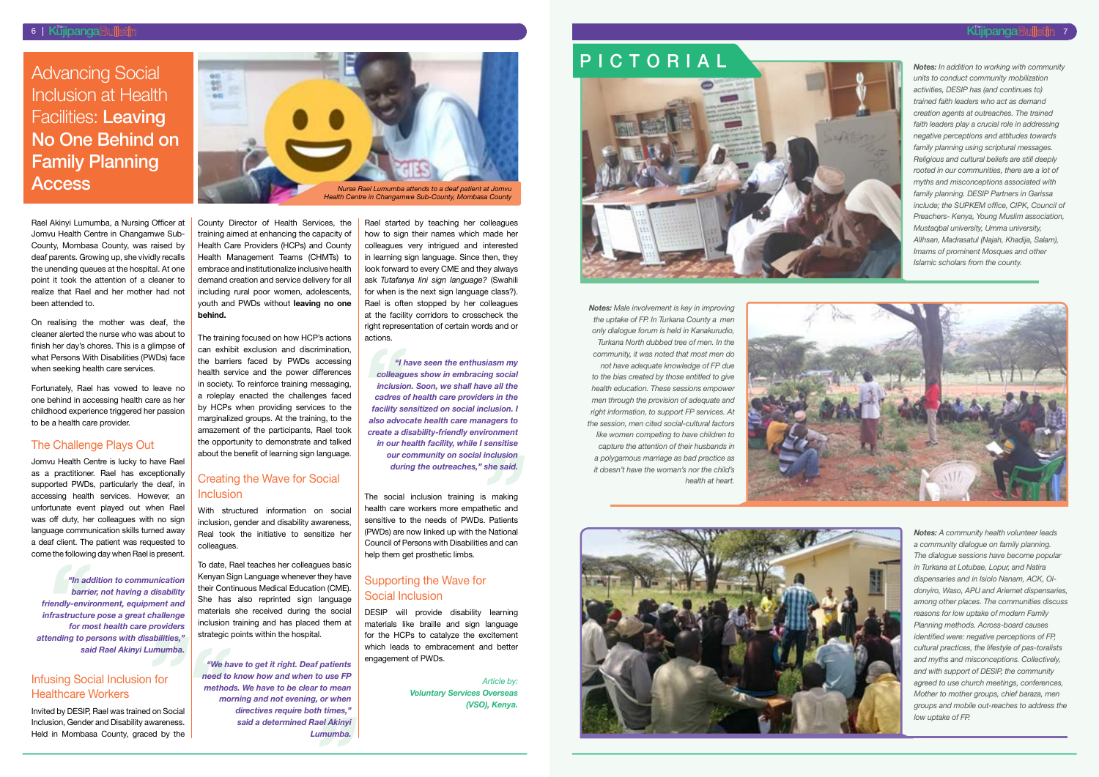Rael Akinyi Lumumba, a Nursing Officer at Jomvu Health Centre in Changamwe Sub-County, Mombasa County, was raised by deaf parents. Growing up, she vividly recalls the unending queues at the hospital. At one point it took the attention of a cleaner to realize that Rael and her mother had not been attended to.

On realising the mother was deaf, the cleaner alerted the nurse who was about to finish her day's chores. This is a glimpse of what Persons With Disabilities (PWDs) face when seeking health care services.

Fortunately, Rael has vowed to leave no one behind in accessing health care as her childhood experience triggered her passion to be a health care provider.

#### The Challenge Plays Out

Jomvu Health Centre is lucky to have Rael as a practitioner. Rael has exceptionally supported PWDs, particularly the deaf, in accessing health services. However, an unfortunate event played out when Rael was off duty, her colleagues with no sign language communication skills turned away a deaf client. The patient was requested to come the following day when Rael is present.

*"In addition to communication barrier, not having a disability friendly-environment, equipment and infrastructure pose a great challenge for most health care providers attending to persons with disabilities," said Rael Akinyi Lumumba.*

#### Infusing Social Inclusion for Healthcare Workers

Invited by DESIP, Rael was trained on Social Inclusion, Gender and Disability awareness. Held in Mombasa County, graced by the County Director of Health Services, the training aimed at enhancing the capacity of Health Care Providers (HCPs) and County Health Management Teams (CHMTs) to embrace and institutionalize inclusive health demand creation and service delivery for all including rural poor women, adolescents, youth and PWDs without **leaving no one behind.**

> The social inclusion training is making health care workers more empathetic and sensitive to the needs of PWDs. Patients (PWDs) are now linked up with the National Council of Persons with Disabilities and can help them get prosthetic limbs.

The training focused on how HCP's actions can exhibit exclusion and discrimination, the barriers faced by PWDs accessing health service and the power differences in society. To reinforce training messaging, a roleplay enacted the challenges faced by HCPs when providing services to the marginalized groups. At the training, to the amazement of the participants, Rael took the opportunity to demonstrate and talked about the benefit of learning sign language.

#### Creating the Wave for Social Inclusion

With structured information on social inclusion, gender and disability awareness, Real took the initiative to sensitize her colleagues.

To date, Rael teaches her colleagues basic Kenyan Sign Language whenever they have their Continuous Medical Education (CME). She has also reprinted sign language materials she received during the social inclusion training and has placed them at strategic points within the hospital.

*"We have to get it right. Deaf patients need to know how and when to use FP methods. We have to be clear to mean morning and not evening, or when directives require both times," said a determined Rael Akinyi Lumumba.*

Rael started by teaching her colleagues how to sign their names which made her colleagues very intrigued and interested in learning sign language. Since then, they look forward to every CME and they always ask *Tutafanya lini sign language?* (Swahili for when is the next sign language class?). Rael is often stopped by her colleagues at the facility corridors to crosscheck the right representation of certain words and or actions.

*"I have seen the enthusiasm my colleagues show in embracing social inclusion. Soon, we shall have all the cadres of health care providers in the facility sensitized on social inclusion. I also advocate health care managers to create a disability-friendly environment in our health facility, while I sensitise our community on social inclusion during the outreaches," she said.*

#### Supporting the Wave for Social Inclusion

DESIP will provide disability learning materials like braille and sign language for the HCPs to catalyze the excitement which leads to embracement and better engagement of PWDs.

> *Article by: Voluntary Services Overseas (VSO), Kenya.*

*Notes: In addition to working with community units to conduct community mobilization activities, DESIP has (and continues to) trained faith leaders who act as demand creation agents at outreaches. The trained faith leaders play a crucial role in addressing negative perceptions and attitudes towards family planning using scriptural messages. Religious and cultural beliefs are still deeply rooted in our communities, there are a lot of myths and misconceptions associated with family planning. DESIP Partners in Garissa include; the SUPKEM office, CIPK, Council of Preachers- Kenya, Young Muslim association, Mustaqbal university, Umma university, AlIhsan, Madrasatul (Najah, Khadija, Salam), Imams of prominent Mosques and other Islamic scholars from the county.*

*Notes: Male involvement is key in improving the uptake of FP. In Turkana County a men only dialogue forum is held in Kanakurudio, Turkana North dubbed tree of men. In the community, it was noted that most men do not have adequate knowledge of FP due to the bias created by those entitled to give health education. These sessions empower men through the provision of adequate and right information, to support FP services. At the session, men cited social-cultural factors like women competing to have children to capture the attention of their husbands in a polygamous marriage as bad practice as it doesn't have the woman's nor the child's health at heart.*





*Notes: A community health volunteer leads a community dialogue on family planning. The dialogue sessions have become popular in Turkana at Lotubae, Lopur, and Natira dispensaries and in Isiolo Nanam, ACK, Oldonyiro, Waso, APU and Ariemet dispensaries, among other places. The communities discuss reasons for low uptake of modern Family Planning methods. Across-board causes identified were: negative perceptions of FP, cultural practices, the lifestyle of pas-toralists and myths and misconceptions. Collectively, and with support of DESIP, the community agreed to use church meetings, conferences, Mother to mother groups, chief baraza, men groups and mobile out-reaches to address the low uptake of FP.*

Advancing Social Inclusion at Health Facilities: Leaving No One Behind on Family Planning



## PICTORIAL



7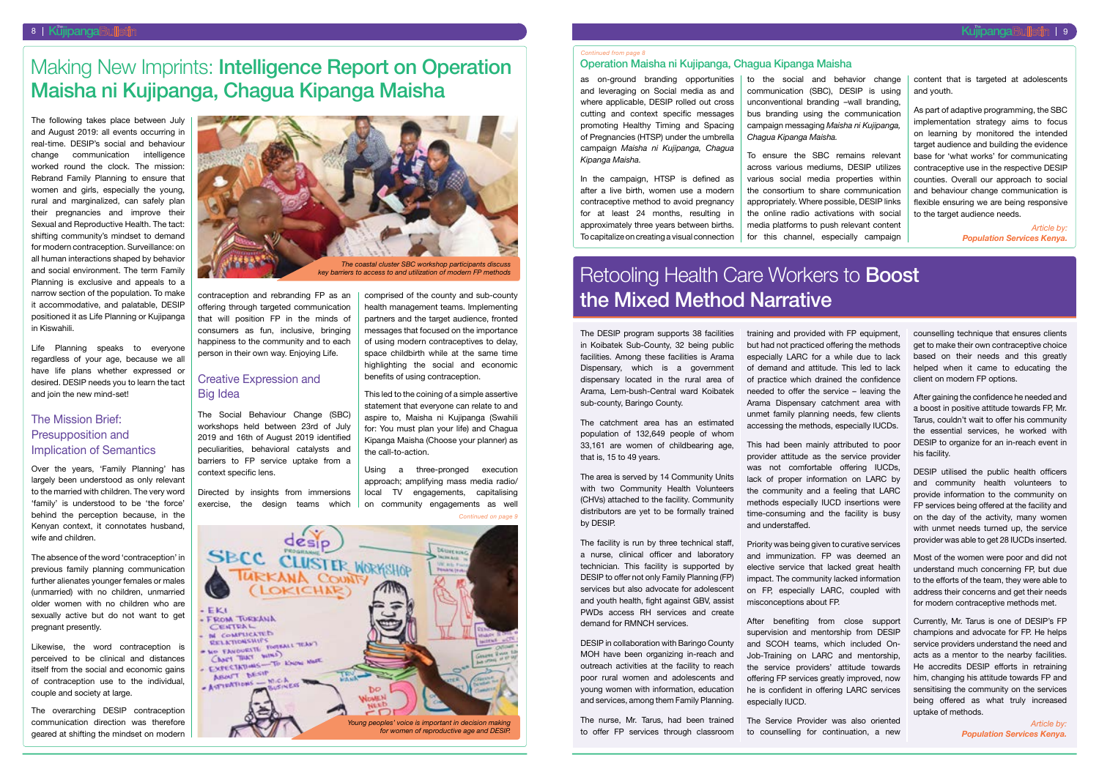The following takes place between July and August 2019: all events occurring in real-time. DESIP's social and behaviour change communication intelligence worked round the clock. The mission: Rebrand Family Planning to ensure that women and girls, especially the young, rural and marginalized, can safely plan their pregnancies and improve their Sexual and Reproductive Health. The tact: shifting community's mindset to demand for modern contraception. Surveillance: on all human interactions shaped by behavior and social environment. The term Family Planning is exclusive and appeals to a narrow section of the population. To make it accommodative, and palatable, DESIP positioned it as Life Planning or Kujipanga in Kiswahili.

Life Planning speaks to everyone regardless of your age, because we all have life plans whether expressed or desired. DESIP needs you to learn the tact and join the new mind-set!

#### The Mission Brief: Presupposition and Implication of Semantics

Over the years, 'Family Planning' has largely been understood as only relevant to the married with children. The very word 'family' is understood to be 'the force' behind the perception because, in the Kenyan context, it connotates husband, wife and children.

The absence of the word 'contraception' in previous family planning communication further alienates younger females or males (unmarried) with no children, unmarried older women with no children who are sexually active but do not want to get pregnant presently.

Likewise, the word contraception is perceived to be clinical and distances itself from the social and economic gains of contraception use to the individual, couple and society at large.

The overarching DESIP contraception communication direction was therefore geared at shifting the mindset on modern contraception and rebranding FP as an offering through targeted communication that will position FP in the minds of consumers as fun, inclusive, bringing happiness to the community and to each person in their own way. Enjoying Life.

> The facility is run by three technical staff. a nurse, clinical officer and laboratory technician. This facility is supported by DESIP to offer not only Family Planning (FP) services but also advocate for adolescent and youth health, fight against GBV, assist PWDs access RH services and create demand for RMNCH services.

#### Creative Expression and Big Idea

The Social Behaviour Change (SBC) workshops held between 23rd of July 2019 and 16th of August 2019 identified peculiarities, behavioral catalysts and barriers to FP service uptake from a context specific lens.

Directed by insights from immersions exercise, the design teams which

comprised of the county and sub-county health management teams. Implementing partners and the target audience, fronted messages that focused on the importance of using modern contraceptives to delay, space childbirth while at the same time highlighting the social and economic benefits of using contraception.

This led to the coining of a simple assertive statement that everyone can relate to and aspire to, Maisha ni Kujipanga (Swahili for: You must plan your life) and Chagua Kipanga Maisha (Choose your planner) as the call-to-action.

Using a three-pronged execution approach; amplifying mass media radio/ local TV engagements, capitalising on community engagements as well The DESIP program supports 38 facilities in Koibatek Sub-County, 32 being public facilities. Among these facilities is Arama Dispensary, which is a government dispensary located in the rural area of Arama, Lem-bush-Central ward Koibatek sub-county, Baringo County.

The catchment area has an estimated population of 132,649 people of whom 33,161 are women of childbearing age, that is, 15 to 49 years.

The area is served by 14 Community Units with two Community Health Volunteers (CHVs) attached to the facility. Community distributors are yet to be formally trained by DESIP.

# Retooling Health Care Workers to **Boost** the Mixed Method Narrative

DESIP in collaboration with Baringo County MOH have been organizing in-reach and outreach activities at the facility to reach poor rural women and adolescents and young women with information, education and services, among them Family Planning.

The nurse, Mr. Tarus, had been trained to offer FP services through classroom

#### 8 | Küjipanga Bulletin | Kujibanga Bulletin | Kujibanga Kabupatèn Kujibanga Kabupatèn Kujibanga The Kujibanga The Kuji

## Making New Imprints: Intelligence Report on Operation Maisha ni Kujipanga, Chagua Kipanga Maisha

training and provided with FP equipment, but had not practiced offering the methods especially LARC for a while due to lack of demand and attitude. This led to lack of practice which drained the confidence needed to offer the service – leaving the Arama Dispensary catchment area with unmet family planning needs, few clients accessing the methods, especially IUCDs.

This had been mainly attributed to poor provider attitude as the service provider was not comfortable offering IUCDs, lack of proper information on LARC by the community and a feeling that LARC methods especially IUCD insertions were time-consuming and the facility is busy and understaffed.

Priority was being given to curative services and immunization. FP was deemed an elective service that lacked great health impact. The community lacked information on FP, especially LARC, coupled with misconceptions about FP.

After benefiting from close support supervision and mentorship from DESIP and SCOH teams, which included On-Job-Training on LARC and mentorship, the service providers' attitude towards offering FP services greatly improved, now he is confident in offering LARC services especially IUCD.

The Service Provider was also oriented to counselling for continuation, a new

counselling technique that ensures clients get to make their own contraceptive choice based on their needs and this greatly helped when it came to educating the client on modern FP options.

After gaining the confidence he needed and a boost in positive attitude towards FP, Mr. Tarus, couldn't wait to offer his community the essential services, he worked with DESIP to organize for an in-reach event in his facility.

DESIP utilised the public health officers and community health volunteers to provide information to the community on FP services being offered at the facility and on the day of the activity, many women with unmet needs turned up, the service provider was able to get 28 IUCDs inserted.

Most of the women were poor and did not understand much concerning FP, but due to the efforts of the team, they were able to address their concerns and get their needs for modern contraceptive methods met.

Currently, Mr. Tarus is one of DESIP's FP champions and advocate for FP. He helps service providers understand the need and acts as a mentor to the nearby facilities. He accredits DESIP efforts in retraining him, changing his attitude towards FP and sensitising the community on the services being offered as what truly increased uptake of methods.



*key barriers to access to and utilization of modern FP methods*

as on-ground branding opportunities and leveraging on Social media as and where applicable, DESIP rolled out cross cutting and context specific messages promoting Healthy Timing and Spacing of Pregnancies (HTSP) under the umbrella campaign *Maisha ni Kujipanga, Chagua Kipanga Maisha.*

In the campaign, HTSP is defined as after a live birth, women use a modern contraceptive method to avoid pregnancy for at least 24 months, resulting in approximately three years between births. To capitalize on creating a visual connection

to the social and behavior change communication (SBC), DESIP is using unconventional branding –wall branding, bus branding using the communication campaign messaging *Maisha ni Kujipanga, Chagua Kipanga Maisha.*



To ensure the SBC remains relevant across various mediums, DESIP utilizes various social media properties within the consortium to share communication appropriately. Where possible, DESIP links the online radio activations with social media platforms to push relevant content for this channel, especially campaign

content that is targeted at adolescents and youth.

As part of adaptive programming, the SBC implementation strategy aims to focus on learning by monitored the intended target audience and building the evidence base for 'what works' for communicating contraceptive use in the respective DESIP counties. Overall our approach to social and behaviour change communication is flexible ensuring we are being responsive to the target audience needs.

> *Article by: Population Services Kenya.*

#### *Continued from page 8*

### Operation Maisha ni Kujipanga, Chagua Kipanga Maisha